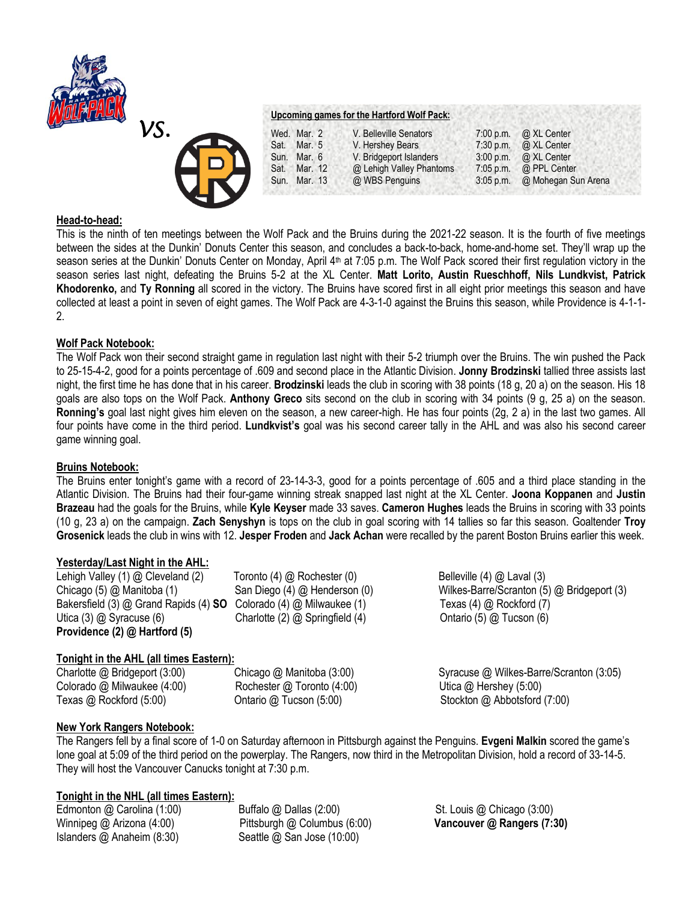

| Wed. Mar. 2     | V. Belleville Senators   | $7:00$ p.m. | @ XL Center         |
|-----------------|--------------------------|-------------|---------------------|
| Mar. 5<br>Sat.  | V. Hershey Bears         | $7:30$ p.m. | @ XL Center         |
| Mar. 6<br>Sun.  | V. Bridgeport Islanders  | 3:00 p.m.   | @ XL Center         |
| Sat.<br>Mar. 12 | @ Lehigh Valley Phantoms | $7:05$ p.m. | @ PPL Center        |
| Sun. Mar. 13    | @ WBS Penguins           | $3:05$ p.m. | @ Mohegan Sun Arena |

### **Head-to-head:**

This is the ninth of ten meetings between the Wolf Pack and the Bruins during the 2021-22 season. It is the fourth of five meetings between the sides at the Dunkin' Donuts Center this season, and concludes a back-to-back, home-and-home set. They'll wrap up the season series at the Dunkin' Donuts Center on Monday, April 4<sup>th</sup> at 7:05 p.m. The Wolf Pack scored their first regulation victory in the season series last night, defeating the Bruins 5-2 at the XL Center. **Matt Lorito, Austin Rueschhoff, Nils Lundkvist, Patrick Khodorenko,** and **Ty Ronning** all scored in the victory. The Bruins have scored first in all eight prior meetings this season and have collected at least a point in seven of eight games. The Wolf Pack are 4-3-1-0 against the Bruins this season, while Providence is 4-1-1- 2.

## **Wolf Pack Notebook:**

The Wolf Pack won their second straight game in regulation last night with their 5-2 triumph over the Bruins. The win pushed the Pack to 25-15-4-2, good for a points percentage of .609 and second place in the Atlantic Division. **Jonny Brodzinski** tallied three assists last night, the first time he has done that in his career. **Brodzinski** leads the club in scoring with 38 points (18 g, 20 a) on the season. His 18 goals are also tops on the Wolf Pack. **Anthony Greco** sits second on the club in scoring with 34 points (9 g, 25 a) on the season. **Ronning's** goal last night gives him eleven on the season, a new career-high. He has four points (2g, 2 a) in the last two games. All four points have come in the third period. **Lundkvist's** goal was his second career tally in the AHL and was also his second career game winning goal.

## **Bruins Notebook:**

The Bruins enter tonight's game with a record of 23-14-3-3, good for a points percentage of .605 and a third place standing in the Atlantic Division. The Bruins had their four-game winning streak snapped last night at the XL Center. **Joona Koppanen** and **Justin Brazeau** had the goals for the Bruins, while **Kyle Keyser** made 33 saves. **Cameron Hughes** leads the Bruins in scoring with 33 points (10 g, 23 a) on the campaign. **Zach Senyshyn** is tops on the club in goal scoring with 14 tallies so far this season. Goaltender **Troy Grosenick** leads the club in wins with 12. **Jesper Froden** and **Jack Achan** were recalled by the parent Boston Bruins earlier this week.

## **Yesterday/Last Night in the AHL:**

Lehigh Valley (1) @ Cleveland (2) Toronto (4) @ Rochester (0) Belleville (4) @ Laval (3) Bakersfield (3) @ Grand Rapids (4) **SO** Colorado (4) @ Milwaukee (1) Texas (4) @ Rockford (7) Utica (3) @ Syracuse (6) Charlotte (2) @ Springfield (4) Ontario (5) @ Tucson (6) **Providence (2) @ Hartford (5)**

# **Tonight in the AHL (all times Eastern):**

Colorado @ Milwaukee (4:00) Rochester @ Toronto (4:00) Utica @ Hershey (5:00)

Chicago (5) @ Manitoba (1) San Diego (4) @ Henderson (0) Wilkes-Barre/Scranton (5) @ Bridgeport (3)

Charlotte @ Bridgeport (3:00) Chicago @ Manitoba (3:00) Syracuse @ Wilkes-Barre/Scranton (3:05) Texas @ Rockford (5:00) Ontario @ Tucson (5:00) Stockton @ Abbotsford (7:00)

# **New York Rangers Notebook:**

The Rangers fell by a final score of 1-0 on Saturday afternoon in Pittsburgh against the Penguins. **Evgeni Malkin** scored the game's lone goal at 5:09 of the third period on the powerplay. The Rangers, now third in the Metropolitan Division, hold a record of 33-14-5. They will host the Vancouver Canucks tonight at 7:30 p.m.

## **Tonight in the NHL (all times Eastern):**

Islanders @ Anaheim (8:30) Seattle @ San Jose (10:00)

Edmonton @ Carolina (1:00) Buffalo @ Dallas (2:00) St. Louis @ Chicago (3:00) Winnipeg @ Arizona (4:00) Pittsburgh @ Columbus (6:00) **Vancouver @ Rangers (7:30)**